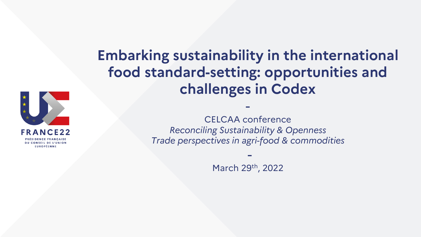

#### **Embarking sustainability in the international food standard-setting: opportunities and challenges in Codex**

CELCAA conference *Reconciling Sustainability & Openness Trade perspectives in agri-food & commodities*

-

March 29th, 2022

-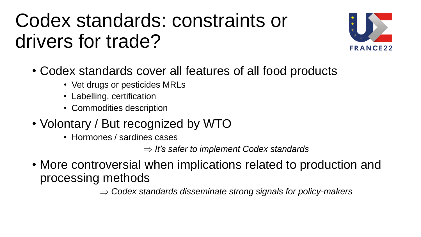### Codex standards: constraints or drivers for trade?



- Codex standards cover all features of all food products
	- Vet drugs or pesticides MRLs
	- Labelling, certification
	- Commodities description
- Volontary / But recognized by WTO
	- Hormones / sardines cases

*It's safer to implement Codex standards*

• More controversial when implications related to production and processing methods

*Codex standards disseminate strong signals for policy-makers*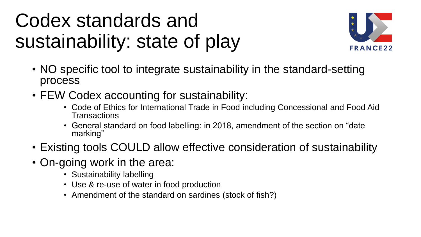## Codex standards and sustainability: state of play



- NO specific tool to integrate sustainability in the standard-setting process
- FEW Codex accounting for sustainability:
	- Code of Ethics for International Trade in Food including Concessional and Food Aid **Transactions**
	- General standard on food labelling: in 2018, amendment of the section on "date marking"
- Existing tools COULD allow effective consideration of sustainability
- On-going work in the area:
	- Sustainability labelling
	- Use & re-use of water in food production
	- Amendment of the standard on sardines (stock of fish?)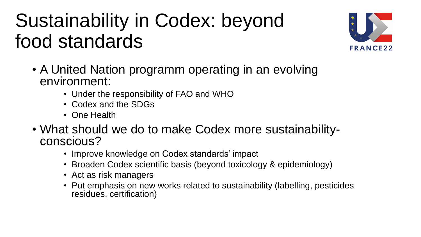# Sustainability in Codex: beyond food standards



- A United Nation programm operating in an evolving environment:
	- Under the responsibility of FAO and WHO
	- Codex and the SDGs
	- One Health
- What should we do to make Codex more sustainabilityconscious?
	- Improve knowledge on Codex standards' impact
	- Broaden Codex scientific basis (beyond toxicology & epidemiology)
	- Act as risk managers
	- Put emphasis on new works related to sustainability (labelling, pesticides residues, certification)